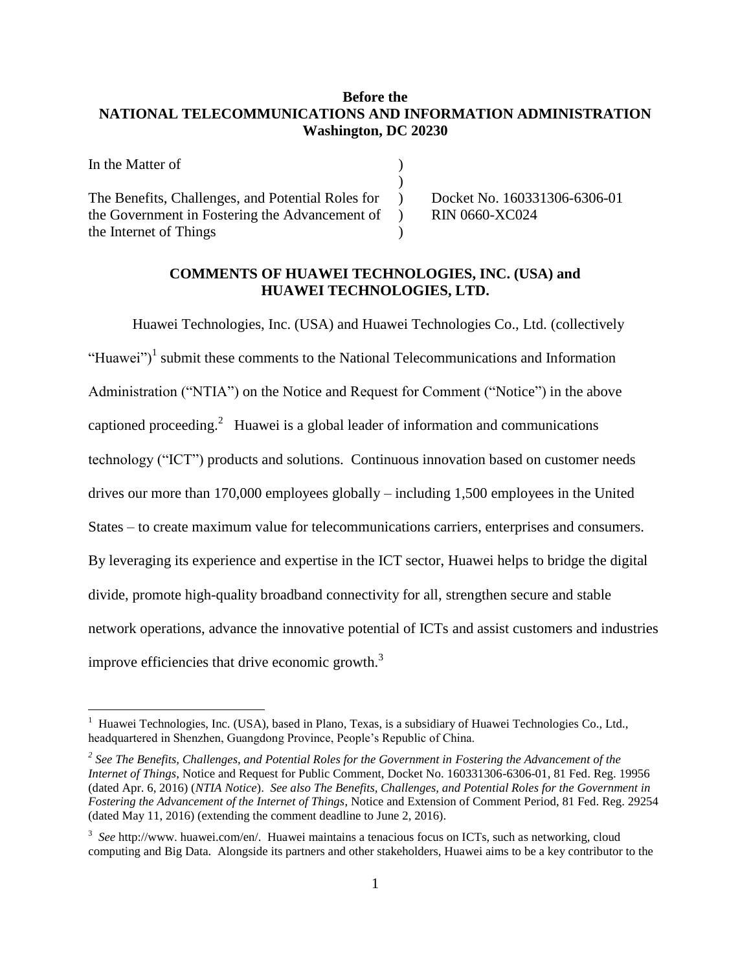# **Before the NATIONAL TELECOMMUNICATIONS AND INFORMATION ADMINISTRATION Washington, DC 20230**

In the Matter of  $\blacksquare$  $\lambda$ The Benefits, Challenges, and Potential Roles for the Government in Fostering the Advancement of the Internet of Things  $\lambda$ ) )

 $\overline{a}$ 

Docket No. 160331306-6306-01 RIN 0660-XC024

## **COMMENTS OF HUAWEI TECHNOLOGIES, INC. (USA) and HUAWEI TECHNOLOGIES, LTD.**

Huawei Technologies, Inc. (USA) and Huawei Technologies Co., Ltd. (collectively "Huawei")<sup>1</sup> submit these comments to the National Telecommunications and Information Administration ("NTIA") on the Notice and Request for Comment ("Notice") in the above captioned proceeding.<sup>2</sup> Huawei is a global leader of information and communications technology ("ICT") products and solutions. Continuous innovation based on customer needs drives our more than 170,000 employees globally – including 1,500 employees in the United States – to create maximum value for telecommunications carriers, enterprises and consumers. By leveraging its experience and expertise in the ICT sector, Huawei helps to bridge the digital divide, promote high-quality broadband connectivity for all, strengthen secure and stable network operations, advance the innovative potential of ICTs and assist customers and industries improve efficiencies that drive economic growth.<sup>3</sup>

<sup>&</sup>lt;sup>1</sup> Huawei Technologies, Inc. (USA), based in Plano, Texas, is a subsidiary of Huawei Technologies Co., Ltd., headquartered in Shenzhen, Guangdong Province, People's Republic of China.

*<sup>2</sup> See The Benefits, Challenges, and Potential Roles for the Government in Fostering the Advancement of the Internet of Things*, Notice and Request for Public Comment, Docket No. 160331306-6306-01, 81 Fed. Reg. 19956 (dated Apr. 6, 2016) (*NTIA Notice*). *See also The Benefits, Challenges, and Potential Roles for the Government in Fostering the Advancement of the Internet of Things*, Notice and Extension of Comment Period, 81 Fed. Reg. 29254 (dated May 11, 2016) (extending the comment deadline to June 2, 2016).

<sup>&</sup>lt;sup>3</sup> See http://www. huawei.com/en/. Huawei maintains a tenacious focus on ICTs, such as networking, cloud computing and Big Data. Alongside its partners and other stakeholders, Huawei aims to be a key contributor to the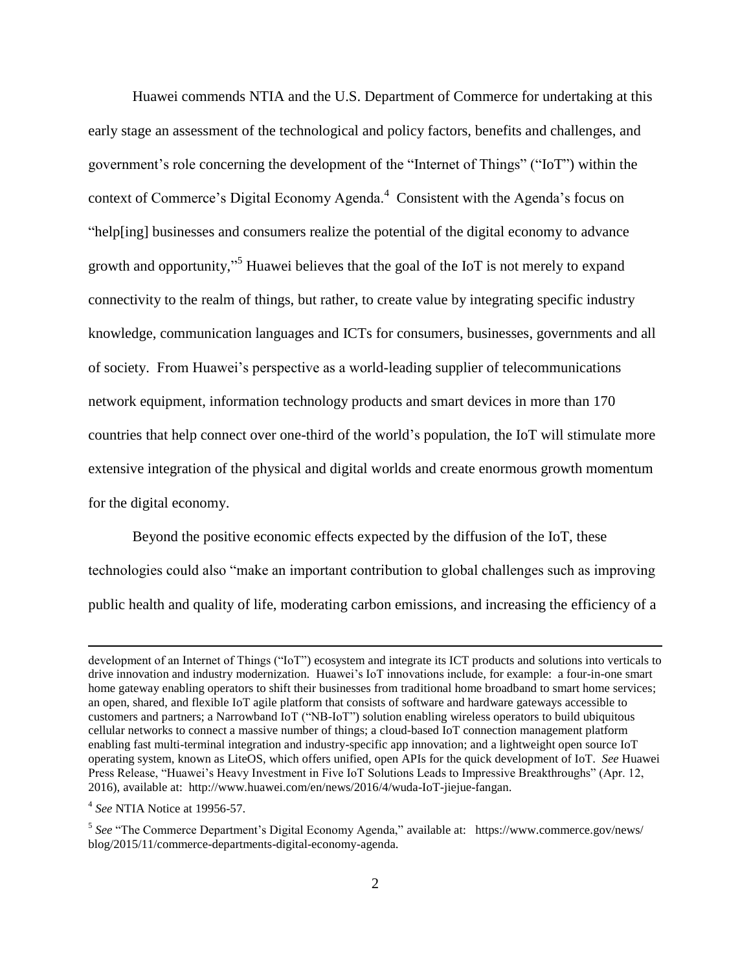Huawei commends NTIA and the U.S. Department of Commerce for undertaking at this early stage an assessment of the technological and policy factors, benefits and challenges, and government's role concerning the development of the "Internet of Things" ("IoT") within the context of Commerce's Digital Economy Agenda. $4$  Consistent with the Agenda's focus on "help[ing] businesses and consumers realize the potential of the digital economy to advance growth and opportunity,"<sup>5</sup> Huawei believes that the goal of the IoT is not merely to expand connectivity to the realm of things, but rather, to create value by integrating specific industry knowledge, communication languages and ICTs for consumers, businesses, governments and all of society. From Huawei's perspective as a world-leading supplier of telecommunications network equipment, information technology products and smart devices in more than 170 countries that help connect over one-third of the world's population, the IoT will stimulate more extensive integration of the physical and digital worlds and create enormous growth momentum for the digital economy.

Beyond the positive economic effects expected by the diffusion of the IoT, these technologies could also "make an important contribution to global challenges such as improving public health and quality of life, moderating carbon emissions, and increasing the efficiency of a

development of an Internet of Things ("IoT") ecosystem and integrate its ICT products and solutions into verticals to drive innovation and industry modernization. Huawei's IoT innovations include, for example: a four-in-one smart home gateway enabling operators to shift their businesses from traditional home broadband to smart home services; an open, shared, and flexible IoT agile platform that consists of software and hardware gateways accessible to customers and partners; a Narrowband IoT ("NB-IoT") solution enabling wireless operators to build ubiquitous cellular networks to connect a massive number of things; a cloud-based IoT connection management platform enabling fast multi-terminal integration and industry-specific app innovation; and a lightweight open source IoT operating system, known as LiteOS, which offers unified, open APIs for the quick development of IoT. *See* Huawei Press Release, "Huawei's Heavy Investment in Five IoT Solutions Leads to Impressive Breakthroughs" (Apr. 12, 2016), available at: http://www.huawei.com/en/news/2016/4/wuda-IoT-jiejue-fangan.

<sup>4</sup> *See* NTIA Notice at 19956-57.

<sup>&</sup>lt;sup>5</sup> See "The Commerce Department's Digital Economy Agenda," available at: https://www.commerce.gov/news/ blog/2015/11/commerce-departments-digital-economy-agenda.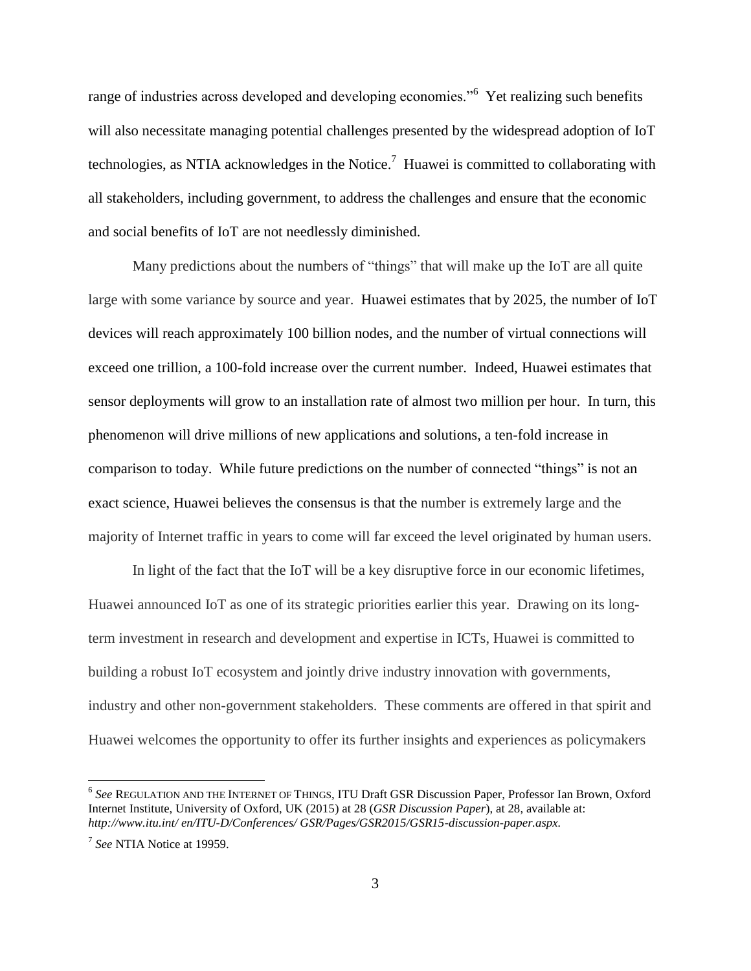range of industries across developed and developing economies."<sup>6</sup> Yet realizing such benefits will also necessitate managing potential challenges presented by the widespread adoption of IoT technologies, as NTIA acknowledges in the Notice.<sup>7</sup> Huawei is committed to collaborating with all stakeholders, including government, to address the challenges and ensure that the economic and social benefits of IoT are not needlessly diminished.

Many predictions about the numbers of "things" that will make up the IoT are all quite large with some variance by source and year. Huawei estimates that by 2025, the number of IoT devices will reach approximately 100 billion nodes, and the number of virtual connections will exceed one trillion, a 100-fold increase over the current number. Indeed, Huawei estimates that sensor deployments will grow to an installation rate of almost two million per hour. In turn, this phenomenon will drive millions of new applications and solutions, a ten-fold increase in comparison to today. While future predictions on the number of connected "things" is not an exact science, Huawei believes the consensus is that the number is extremely large and the majority of Internet traffic in years to come will far exceed the level originated by human users.

In light of the fact that the IoT will be a key disruptive force in our economic lifetimes, Huawei announced IoT as one of its strategic priorities earlier this year. Drawing on its longterm investment in research and development and expertise in ICTs, Huawei is committed to building a robust IoT ecosystem and jointly drive industry innovation with governments, industry and other non-government stakeholders. These comments are offered in that spirit and Huawei welcomes the opportunity to offer its further insights and experiences as policymakers

<sup>6</sup> *See* REGULATION AND THE INTERNET OF THINGS, ITU Draft GSR Discussion Paper, Professor Ian Brown, Oxford Internet Institute, University of Oxford, UK (2015) at 28 (*GSR Discussion Paper*), at 28, available at: *http://www.itu.int/ en/ITU-D/Conferences/ GSR/Pages/GSR2015/GSR15-discussion-paper.aspx.*

<sup>7</sup> *See* NTIA Notice at 19959.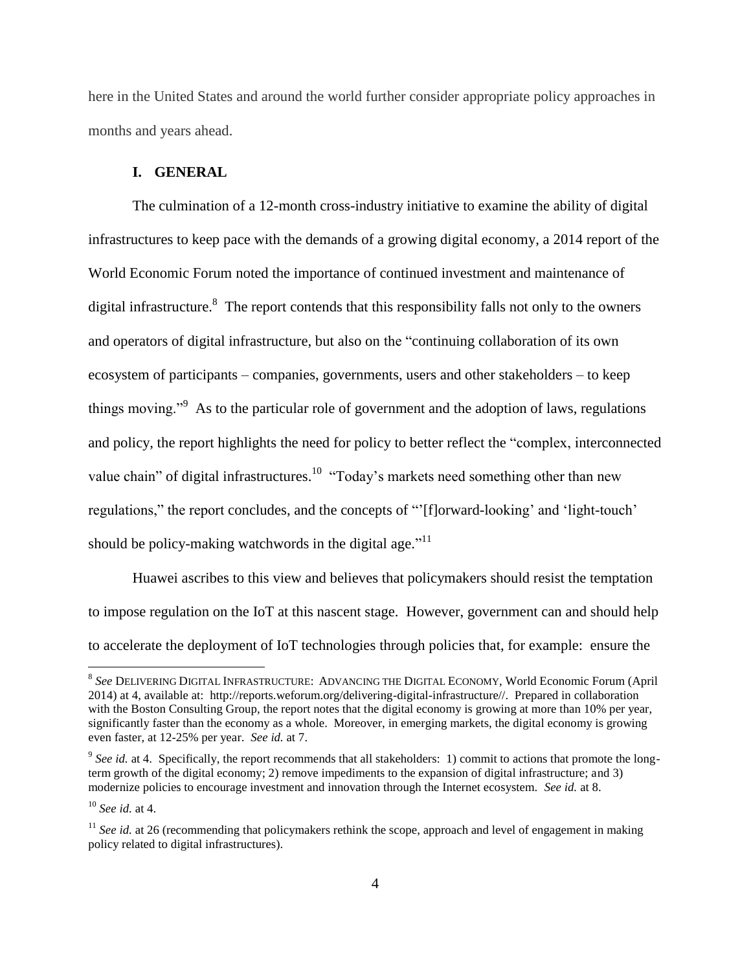here in the United States and around the world further consider appropriate policy approaches in months and years ahead.

## **I. GENERAL**

The culmination of a 12-month cross-industry initiative to examine the ability of digital infrastructures to keep pace with the demands of a growing digital economy, a 2014 report of the World Economic Forum noted the importance of continued investment and maintenance of digital infrastructure.<sup>8</sup> The report contends that this responsibility falls not only to the owners and operators of digital infrastructure, but also on the "continuing collaboration of its own ecosystem of participants – companies, governments, users and other stakeholders – to keep things moving."<sup>9</sup> As to the particular role of government and the adoption of laws, regulations and policy, the report highlights the need for policy to better reflect the "complex, interconnected value chain" of digital infrastructures.<sup>10</sup> "Today's markets need something other than new regulations," the report concludes, and the concepts of "[f]orward-looking' and 'light-touch' should be policy-making watchwords in the digital age."<sup>11</sup>

Huawei ascribes to this view and believes that policymakers should resist the temptation to impose regulation on the IoT at this nascent stage. However, government can and should help to accelerate the deployment of IoT technologies through policies that, for example: ensure the

 8 *See* DELIVERING DIGITAL INFRASTRUCTURE: ADVANCING THE DIGITAL ECONOMY, World Economic Forum (April 2014) at 4, available at: http://reports.weforum.org/delivering-digital-infrastructure//. Prepared in collaboration with the Boston Consulting Group, the report notes that the digital economy is growing at more than 10% per year, significantly faster than the economy as a whole. Moreover, in emerging markets, the digital economy is growing even faster, at 12-25% per year. *See id.* at 7.

 $9^{9}$  See id. at 4. Specifically, the report recommends that all stakeholders: 1) commit to actions that promote the longterm growth of the digital economy; 2) remove impediments to the expansion of digital infrastructure; and 3) modernize policies to encourage investment and innovation through the Internet ecosystem. *See id.* at 8.

<sup>10</sup> *See id.* at 4.

<sup>&</sup>lt;sup>11</sup> *See id.* at 26 (recommending that policymakers rethink the scope, approach and level of engagement in making policy related to digital infrastructures).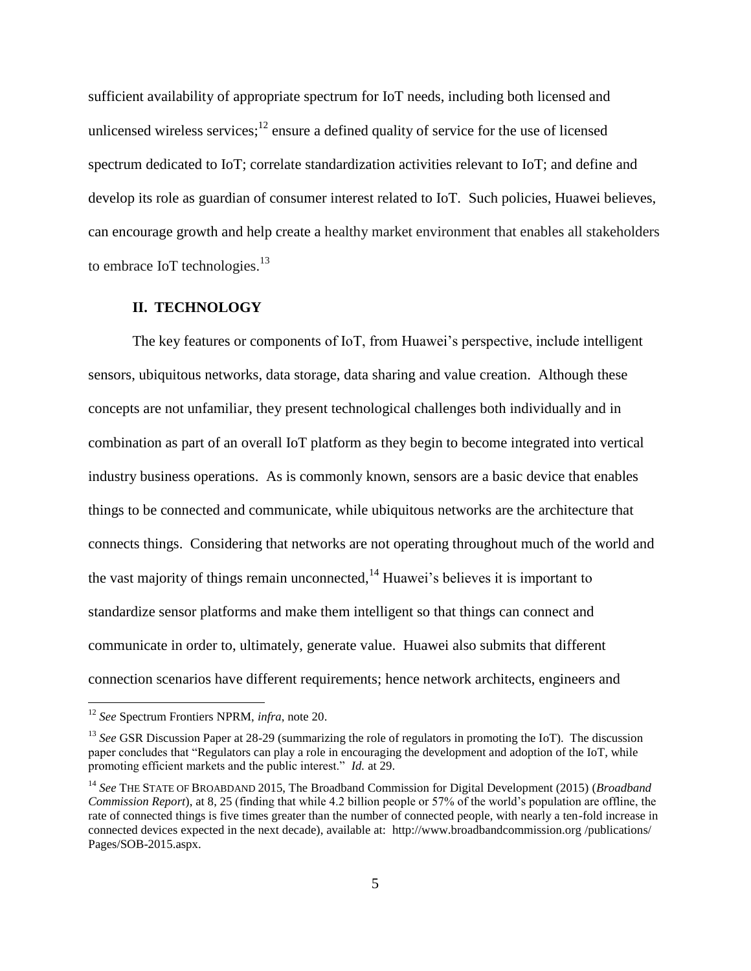sufficient availability of appropriate spectrum for IoT needs, including both licensed and unlicensed wireless services; $<sup>12</sup>$  ensure a defined quality of service for the use of licensed</sup> spectrum dedicated to IoT; correlate standardization activities relevant to IoT; and define and develop its role as guardian of consumer interest related to IoT. Such policies, Huawei believes, can encourage growth and help create a healthy market environment that enables all stakeholders to embrace IoT technologies.<sup>13</sup>

#### **II. TECHNOLOGY**

The key features or components of IoT, from Huawei's perspective, include intelligent sensors, ubiquitous networks, data storage, data sharing and value creation. Although these concepts are not unfamiliar, they present technological challenges both individually and in combination as part of an overall IoT platform as they begin to become integrated into vertical industry business operations. As is commonly known, sensors are a basic device that enables things to be connected and communicate, while ubiquitous networks are the architecture that connects things. Considering that networks are not operating throughout much of the world and the vast majority of things remain unconnected,  $14$  Huawei's believes it is important to standardize sensor platforms and make them intelligent so that things can connect and communicate in order to, ultimately, generate value. Huawei also submits that different connection scenarios have different requirements; hence network architects, engineers and

<sup>12</sup> *See* Spectrum Frontiers NPRM, *infra*, note 20.

<sup>13</sup> *See* GSR Discussion Paper at 28-29 (summarizing the role of regulators in promoting the IoT). The discussion paper concludes that "Regulators can play a role in encouraging the development and adoption of the IoT, while promoting efficient markets and the public interest." *Id.* at 29.

<sup>14</sup> *See* THE STATE OF BROABDAND 2015, The Broadband Commission for Digital Development (2015) (*Broadband Commission Report*), at 8, 25 (finding that while 4.2 billion people or 57% of the world's population are offline, the rate of connected things is five times greater than the number of connected people, with nearly a ten-fold increase in connected devices expected in the next decade), available at: http://www.broadbandcommission.org /publications/ Pages/SOB-2015.aspx.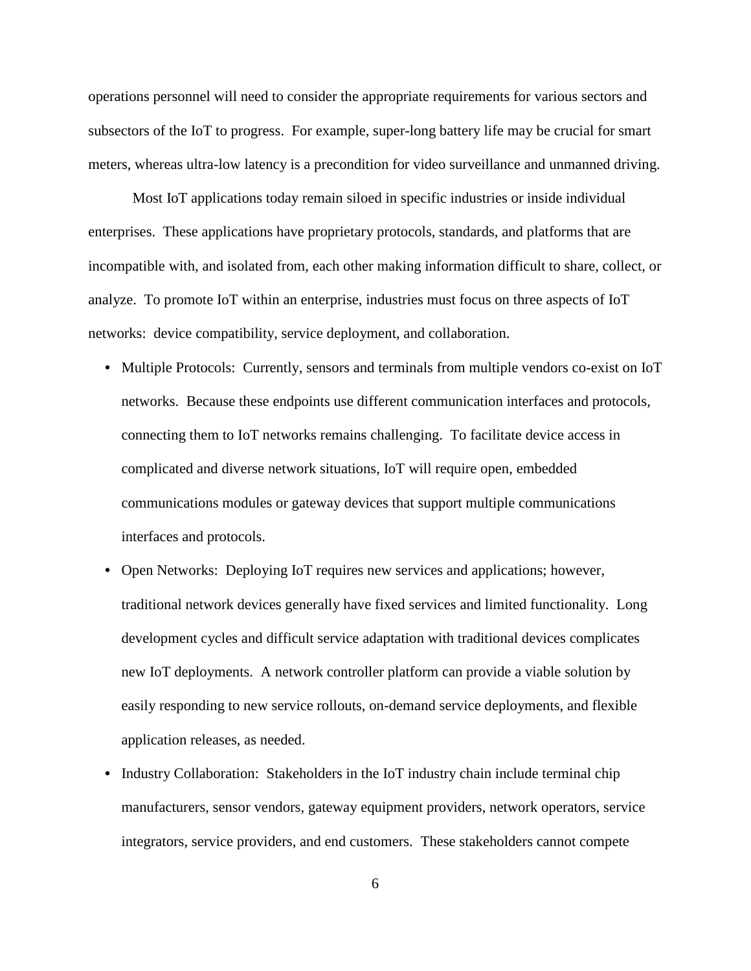operations personnel will need to consider the appropriate requirements for various sectors and subsectors of the IoT to progress. For example, super-long battery life may be crucial for smart meters, whereas ultra-low latency is a precondition for video surveillance and unmanned driving.

Most IoT applications today remain siloed in specific industries or inside individual enterprises. These applications have proprietary protocols, standards, and platforms that are incompatible with, and isolated from, each other making information difficult to share, collect, or analyze. To promote IoT within an enterprise, industries must focus on three aspects of IoT networks: device compatibility, service deployment, and collaboration.

- Multiple Protocols: Currently, sensors and terminals from multiple vendors co-exist on IoT networks. Because these endpoints use different communication interfaces and protocols, connecting them to IoT networks remains challenging. To facilitate device access in complicated and diverse network situations, IoT will require open, embedded communications modules or gateway devices that support multiple communications interfaces and protocols.
- **•** Open Networks: Deploying IoT requires new services and applications; however, traditional network devices generally have fixed services and limited functionality. Long development cycles and difficult service adaptation with traditional devices complicates new IoT deployments. A network controller platform can provide a viable solution by easily responding to new service rollouts, on-demand service deployments, and flexible application releases, as needed.
- **•** Industry Collaboration:Stakeholders in the IoT industry chain include terminal chip manufacturers, sensor vendors, gateway equipment providers, network operators, service integrators, service providers, and end customers. These stakeholders cannot compete

6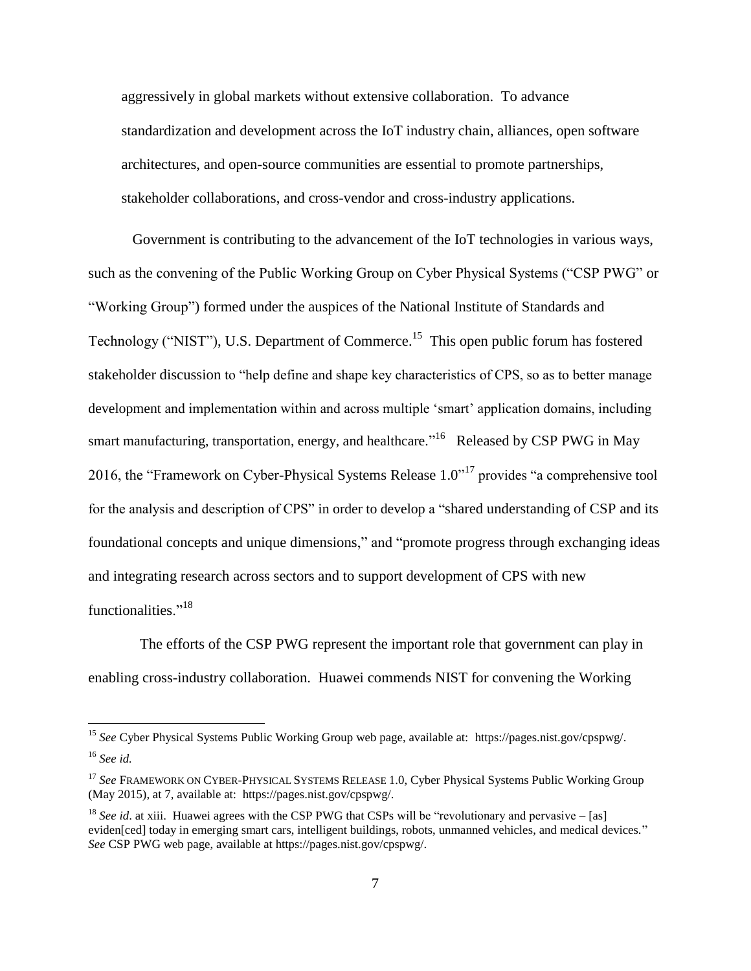aggressively in global markets without extensive collaboration. To advance standardization and development across the IoT industry chain, alliances, open software architectures, and open-source communities are essential to promote partnerships, stakeholder collaborations, and cross-vendor and cross-industry applications.

Government is contributing to the advancement of the IoT technologies in various ways, such as the convening of the Public Working Group on Cyber Physical Systems ("CSP PWG" or ―Working Group‖) formed under the auspices of the National Institute of Standards and Technology ("NIST"), U.S. Department of Commerce.<sup>15</sup> This open public forum has fostered stakeholder discussion to "help define and shape key characteristics of CPS, so as to better manage development and implementation within and across multiple 'smart' application domains, including smart manufacturing, transportation, energy, and healthcare.<sup> $16$ </sup> Released by CSP PWG in May 2016, the "Framework on Cyber-Physical Systems Release  $1.0$ "<sup>17</sup> provides "a comprehensive tool for the analysis and description of CPS" in order to develop a "shared understanding of CSP and its foundational concepts and unique dimensions," and "promote progress through exchanging ideas and integrating research across sectors and to support development of CPS with new functionalities."<sup>18</sup>

 The efforts of the CSP PWG represent the important role that government can play in enabling cross-industry collaboration. Huawei commends NIST for convening the Working

<sup>15</sup> *See* Cyber Physical Systems Public Working Group web page, available at: https://pages.nist.gov/cpspwg/. <sup>16</sup> *See id.*

<sup>&</sup>lt;sup>17</sup> See FRAMEWORK ON CYBER-PHYSICAL SYSTEMS RELEASE 1.0, Cyber Physical Systems Public Working Group (May 2015), at 7, available at: https://pages.nist.gov/cpspwg/.

<sup>&</sup>lt;sup>18</sup> *See id.* at xiii. Huawei agrees with the CSP PWG that CSPs will be "revolutionary and pervasive – [as] eviden[ced] today in emerging smart cars, intelligent buildings, robots, unmanned vehicles, and medical devices." *See* CSP PWG web page, available at https://pages.nist.gov/cpspwg/.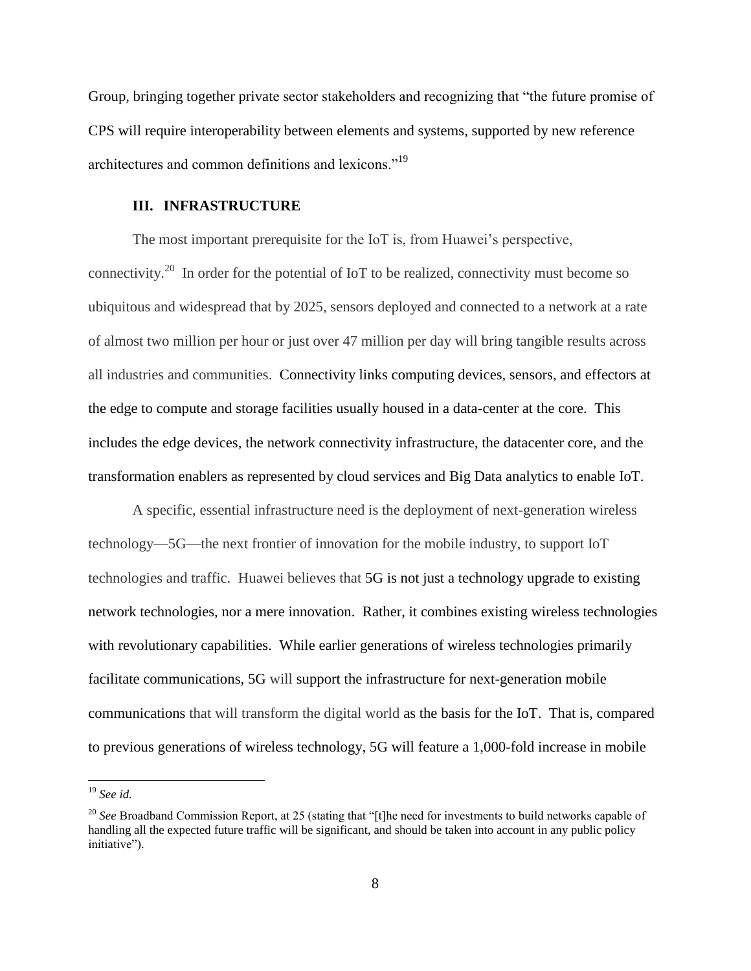Group, bringing together private sector stakeholders and recognizing that "the future promise of CPS will require interoperability between elements and systems, supported by new reference architectures and common definitions and lexicons."<sup>19</sup>

## **III. INFRASTRUCTURE**

The most important prerequisite for the IoT is, from Huawei's perspective, connectivity.<sup>20</sup> In order for the potential of IoT to be realized, connectivity must become so ubiquitous and widespread that by 2025, sensors deployed and connected to a network at a rate of almost two million per hour or just over 47 million per day will bring tangible results across all industries and communities. Connectivity links computing devices, sensors, and effectors at the edge to compute and storage facilities usually housed in a data-center at the core. This includes the edge devices, the network connectivity infrastructure, the datacenter core, and the transformation enablers as represented by cloud services and Big Data analytics to enable IoT.

A specific, essential infrastructure need is the deployment of next-generation wireless technology—5G—the next frontier of innovation for the mobile industry, to support IoT technologies and traffic. Huawei believes that 5G is not just a technology upgrade to existing network technologies, nor a mere innovation. Rather, it combines existing wireless technologies with revolutionary capabilities. While earlier generations of wireless technologies primarily facilitate communications, 5G will support the infrastructure for next-generation mobile communications that will transform the digital world as the basis for the IoT. That is, compared to previous generations of wireless technology, 5G will feature a 1,000-fold increase in mobile

<sup>19</sup> *See id.*

<sup>&</sup>lt;sup>20</sup> See Broadband Commission Report, at 25 (stating that "[t]he need for investments to build networks capable of handling all the expected future traffic will be significant, and should be taken into account in any public policy initiative").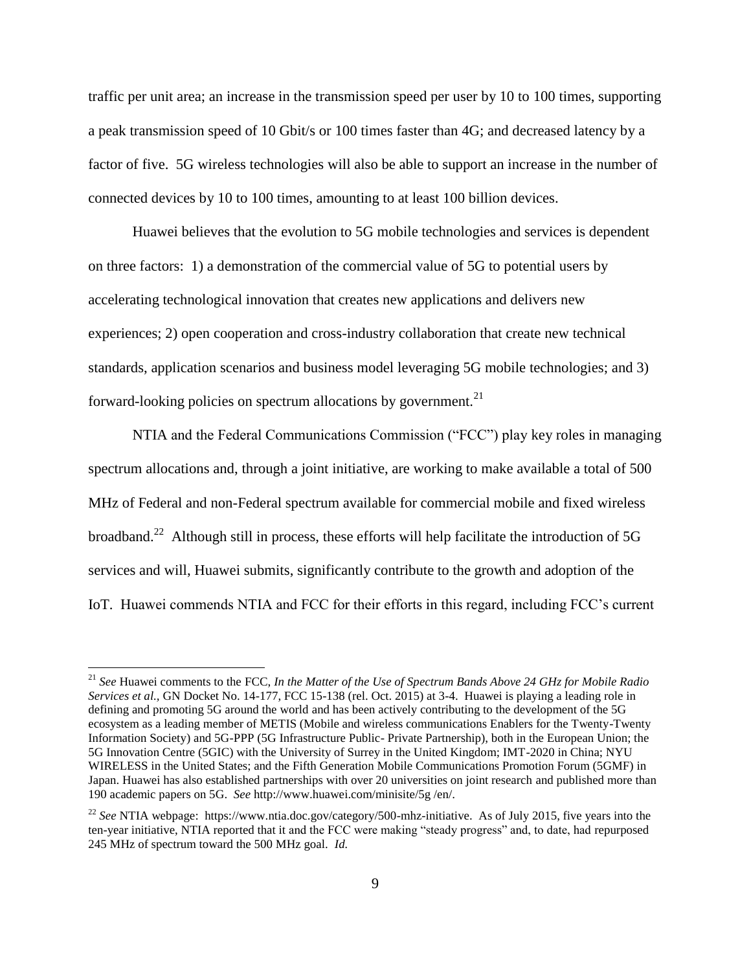traffic per unit area; an increase in the transmission speed per user by 10 to 100 times, supporting a peak transmission speed of 10 Gbit/s or 100 times faster than 4G; and decreased latency by a factor of five. 5G wireless technologies will also be able to support an increase in the number of connected devices by 10 to 100 times, amounting to at least 100 billion devices.

Huawei believes that the evolution to 5G mobile technologies and services is dependent on three factors: 1) a demonstration of the commercial value of 5G to potential users by accelerating technological innovation that creates new applications and delivers new experiences; 2) open cooperation and cross-industry collaboration that create new technical standards, application scenarios and business model leveraging 5G mobile technologies; and 3) forward-looking policies on spectrum allocations by government.<sup>21</sup>

NTIA and the Federal Communications Commission ("FCC") play key roles in managing spectrum allocations and, through a joint initiative, are working to make available a total of 500 MHz of Federal and non-Federal spectrum available for commercial mobile and fixed wireless broadband.<sup>22</sup> Although still in process, these efforts will help facilitate the introduction of 5G services and will, Huawei submits, significantly contribute to the growth and adoption of the IoT. Huawei commends NTIA and FCC for their efforts in this regard, including FCC's current

<sup>21</sup> *See* Huawei comments to the FCC, *In the Matter of the Use of Spectrum Bands Above 24 GHz for Mobile Radio Services et al.,* GN Docket No. 14-177, FCC 15-138 (rel. Oct. 2015) at 3-4. Huawei is playing a leading role in defining and promoting 5G around the world and has been actively contributing to the development of the 5G ecosystem as a leading member of METIS (Mobile and wireless communications Enablers for the Twenty-Twenty Information Society) and 5G-PPP (5G Infrastructure Public- Private Partnership), both in the European Union; the 5G Innovation Centre (5GIC) with the University of Surrey in the United Kingdom; IMT-2020 in China; NYU WIRELESS in the United States; and the Fifth Generation Mobile Communications Promotion Forum (5GMF) in Japan. Huawei has also established partnerships with over 20 universities on joint research and published more than 190 academic papers on 5G. *See* http://www.huawei.com/minisite/5g /en/.

<sup>22</sup> *See* NTIA webpage: https://www.ntia.doc.gov/category/500-mhz-initiative. As of July 2015, five years into the ten-year initiative, NTIA reported that it and the FCC were making "steady progress" and, to date, had repurposed 245 MHz of spectrum toward the 500 MHz goal. *Id.*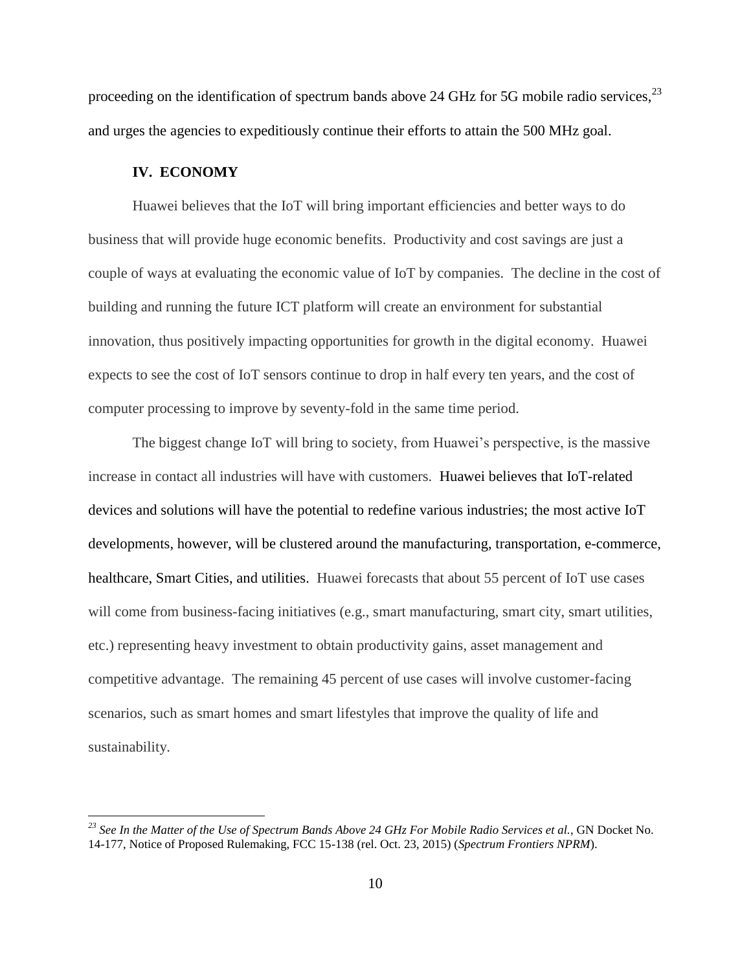proceeding on the identification of spectrum bands above 24 GHz for 5G mobile radio services,<sup>23</sup> and urges the agencies to expeditiously continue their efforts to attain the 500 MHz goal.

#### **IV. ECONOMY**

 $\overline{a}$ 

Huawei believes that the IoT will bring important efficiencies and better ways to do business that will provide huge economic benefits. Productivity and cost savings are just a couple of ways at evaluating the economic value of IoT by companies. The decline in the cost of building and running the future ICT platform will create an environment for substantial innovation, thus positively impacting opportunities for growth in the digital economy. Huawei expects to see the cost of IoT sensors continue to drop in half every ten years, and the cost of computer processing to improve by seventy-fold in the same time period.

The biggest change IoT will bring to society, from Huawei's perspective, is the massive increase in contact all industries will have with customers. Huawei believes that IoT-related devices and solutions will have the potential to redefine various industries; the most active IoT developments, however, will be clustered around the manufacturing, transportation, e-commerce, healthcare, Smart Cities, and utilities. Huawei forecasts that about 55 percent of IoT use cases will come from business-facing initiatives (e.g., smart manufacturing, smart city, smart utilities, etc.) representing heavy investment to obtain productivity gains, asset management and competitive advantage. The remaining 45 percent of use cases will involve customer-facing scenarios, such as smart homes and smart lifestyles that improve the quality of life and sustainability.

*<sup>23</sup> See In the Matter of the Use of Spectrum Bands Above 24 GHz For Mobile Radio Services et al.*, GN Docket No. 14-177, Notice of Proposed Rulemaking, FCC 15-138 (rel. Oct. 23, 2015) (*Spectrum Frontiers NPRM*).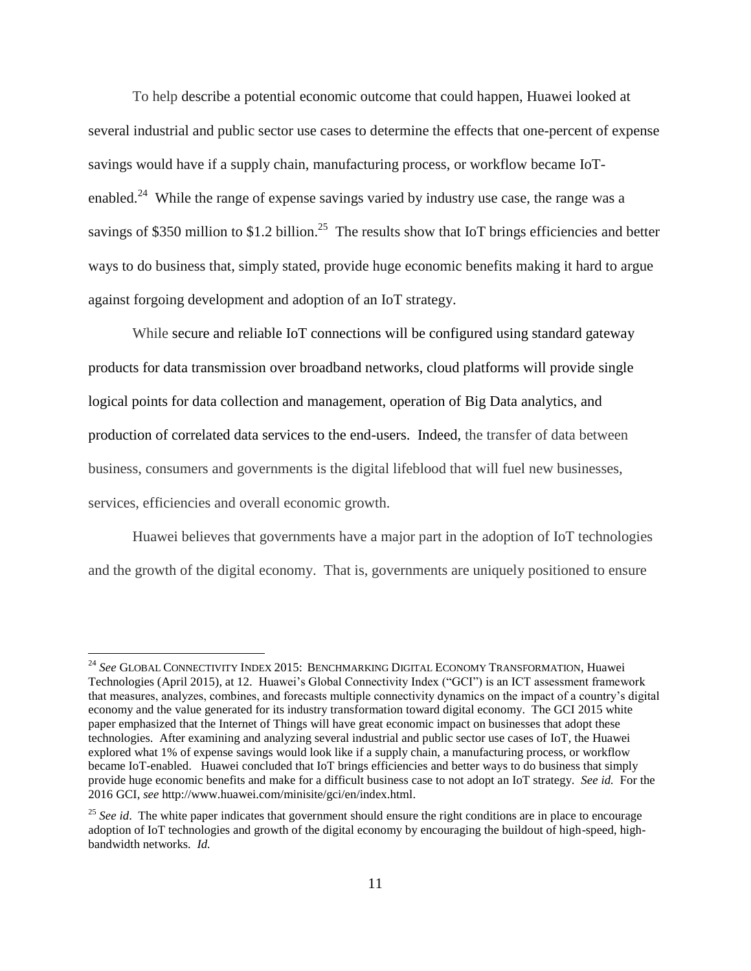To help describe a potential economic outcome that could happen, Huawei looked at several industrial and public sector use cases to determine the effects that one-percent of expense savings would have if a supply chain, manufacturing process, or workflow became IoTenabled.<sup>24</sup> While the range of expense savings varied by industry use case, the range was a savings of \$350 million to \$1.2 billion.<sup>25</sup> The results show that IoT brings efficiencies and better ways to do business that, simply stated, provide huge economic benefits making it hard to argue against forgoing development and adoption of an IoT strategy.

While secure and reliable IoT connections will be configured using standard gateway products for data transmission over broadband networks, cloud platforms will provide single logical points for data collection and management, operation of Big Data analytics, and production of correlated data services to the end-users. Indeed, the transfer of data between business, consumers and governments is the digital lifeblood that will fuel new businesses, services, efficiencies and overall economic growth.

Huawei believes that governments have a major part in the adoption of IoT technologies and the growth of the digital economy. That is, governments are uniquely positioned to ensure

<sup>24</sup> *See* GLOBAL CONNECTIVITY INDEX 2015: BENCHMARKING DIGITAL ECONOMY TRANSFORMATION, Huawei Technologies (April 2015), at 12. Huawei's Global Connectivity Index ("GCI") is an ICT assessment framework that measures, analyzes, combines, and forecasts multiple connectivity dynamics on the impact of a country's digital economy and the value generated for its industry transformation toward digital economy. The GCI 2015 white paper emphasized that the Internet of Things will have great economic impact on businesses that adopt these technologies. After examining and analyzing several industrial and public sector use cases of IoT, the Huawei explored what 1% of expense savings would look like if a supply chain, a manufacturing process, or workflow became IoT-enabled. Huawei concluded that IoT brings efficiencies and better ways to do business that simply provide huge economic benefits and make for a difficult business case to not adopt an IoT strategy. *See id.* For the 2016 GCI, *see* http://www.huawei.com/minisite/gci/en/index.html.

<sup>&</sup>lt;sup>25</sup> See id. The white paper indicates that government should ensure the right conditions are in place to encourage adoption of IoT technologies and growth of the digital economy by encouraging the buildout of high-speed, highbandwidth networks. *Id.*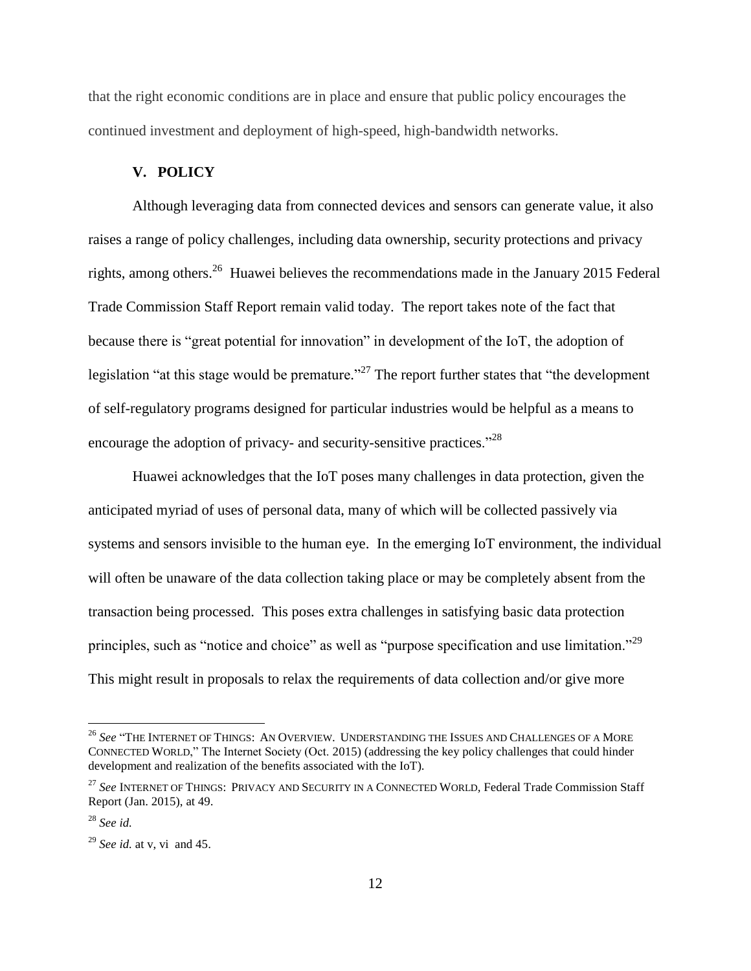that the right economic conditions are in place and ensure that public policy encourages the continued investment and deployment of high-speed, high-bandwidth networks.

## **V. POLICY**

Although leveraging data from connected devices and sensors can generate value, it also raises a range of policy challenges, including data ownership, security protections and privacy rights, among others.<sup>26</sup> Huawei believes the recommendations made in the January 2015 Federal Trade Commission Staff Report remain valid today. The report takes note of the fact that because there is "great potential for innovation" in development of the  $I_0$ , the adoption of legislation "at this stage would be premature."<sup>27</sup> The report further states that "the development of self-regulatory programs designed for particular industries would be helpful as a means to encourage the adoption of privacy- and security-sensitive practices."<sup>28</sup>

Huawei acknowledges that the IoT poses many challenges in data protection, given the anticipated myriad of uses of personal data, many of which will be collected passively via systems and sensors invisible to the human eye. In the emerging IoT environment, the individual will often be unaware of the data collection taking place or may be completely absent from the transaction being processed. This poses extra challenges in satisfying basic data protection principles, such as "notice and choice" as well as "purpose specification and use limitation."<sup>29</sup> This might result in proposals to relax the requirements of data collection and/or give more

<sup>&</sup>lt;sup>26</sup> See "THE INTERNET OF THINGS: AN OVERVIEW. UNDERSTANDING THE ISSUES AND CHALLENGES OF A MORE CONNECTED WORLD," The Internet Society (Oct. 2015) (addressing the key policy challenges that could hinder development and realization of the benefits associated with the IoT).

<sup>27</sup> *See* INTERNET OF THINGS: PRIVACY AND SECURITY IN A CONNECTED WORLD*,* Federal Trade Commission Staff Report (Jan. 2015), at 49.

<sup>28</sup> *See id.*

<sup>29</sup> *See id.* at v, vi and 45.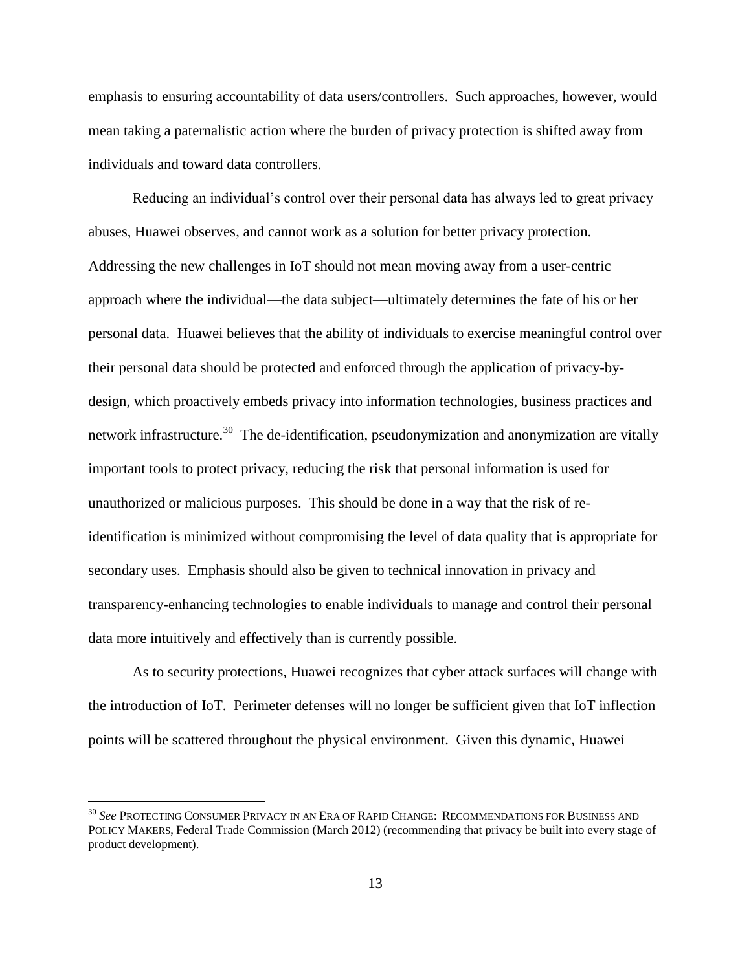emphasis to ensuring accountability of data users/controllers. Such approaches, however, would mean taking a paternalistic action where the burden of privacy protection is shifted away from individuals and toward data controllers.

Reducing an individual's control over their personal data has always led to great privacy abuses, Huawei observes, and cannot work as a solution for better privacy protection. Addressing the new challenges in IoT should not mean moving away from a user-centric approach where the individual—the data subject—ultimately determines the fate of his or her personal data. Huawei believes that the ability of individuals to exercise meaningful control over their personal data should be protected and enforced through the application of privacy-bydesign, which proactively embeds privacy into information technologies, business practices and network infrastructure.<sup>30</sup> The de-identification, pseudonymization and anonymization are vitally important tools to protect privacy, reducing the risk that personal information is used for unauthorized or malicious purposes. This should be done in a way that the risk of reidentification is minimized without compromising the level of data quality that is appropriate for secondary uses. Emphasis should also be given to technical innovation in privacy and transparency-enhancing technologies to enable individuals to manage and control their personal data more intuitively and effectively than is currently possible.

As to security protections, Huawei recognizes that cyber attack surfaces will change with the introduction of IoT. Perimeter defenses will no longer be sufficient given that IoT inflection points will be scattered throughout the physical environment. Given this dynamic, Huawei

<sup>30</sup> *See* PROTECTING CONSUMER PRIVACY IN AN ERA OF RAPID CHANGE: RECOMMENDATIONS FOR BUSINESS AND POLICY MAKERS, Federal Trade Commission (March 2012) (recommending that privacy be built into every stage of product development).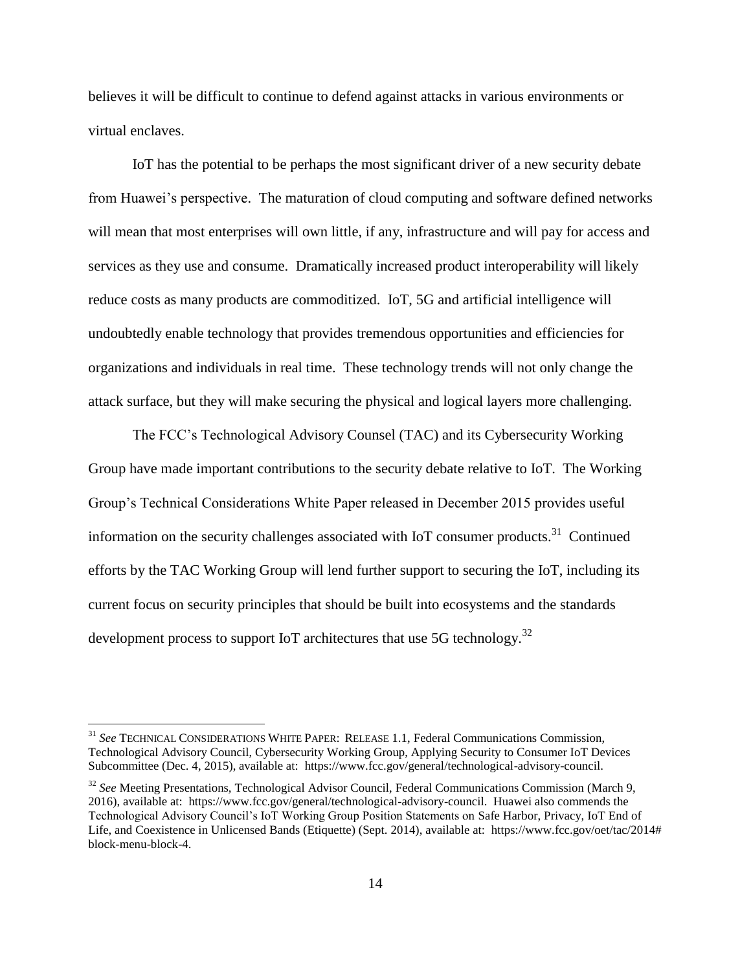believes it will be difficult to continue to defend against attacks in various environments or virtual enclaves.

IoT has the potential to be perhaps the most significant driver of a new security debate from Huawei's perspective. The maturation of cloud computing and software defined networks will mean that most enterprises will own little, if any, infrastructure and will pay for access and services as they use and consume. Dramatically increased product interoperability will likely reduce costs as many products are commoditized. IoT, 5G and artificial intelligence will undoubtedly enable technology that provides tremendous opportunities and efficiencies for organizations and individuals in real time. These technology trends will not only change the attack surface, but they will make securing the physical and logical layers more challenging.

The FCC's Technological Advisory Counsel (TAC) and its Cybersecurity Working Group have made important contributions to the security debate relative to IoT. The Working Group's Technical Considerations White Paper released in December 2015 provides useful information on the security challenges associated with IoT consumer products.<sup>31</sup> Continued efforts by the TAC Working Group will lend further support to securing the IoT, including its current focus on security principles that should be built into ecosystems and the standards development process to support IoT architectures that use 5G technology.<sup>32</sup>

<sup>31</sup> *See* TECHNICAL CONSIDERATIONS WHITE PAPER: RELEASE 1.1, Federal Communications Commission, Technological Advisory Council, Cybersecurity Working Group, Applying Security to Consumer IoT Devices Subcommittee (Dec. 4, 2015), available at: https://www.fcc.gov/general/technological-advisory-council.

<sup>32</sup> *See* Meeting Presentations*,* Technological Advisor Council, Federal Communications Commission (March 9, 2016), available at: https://www.fcc.gov/general/technological-advisory-council. Huawei also commends the Technological Advisory Council's IoT Working Group Position Statements on Safe Harbor, Privacy, IoT End of Life, and Coexistence in Unlicensed Bands (Etiquette) (Sept. 2014), available at: https://www.fcc.gov/oet/tac/2014# block-menu-block-4.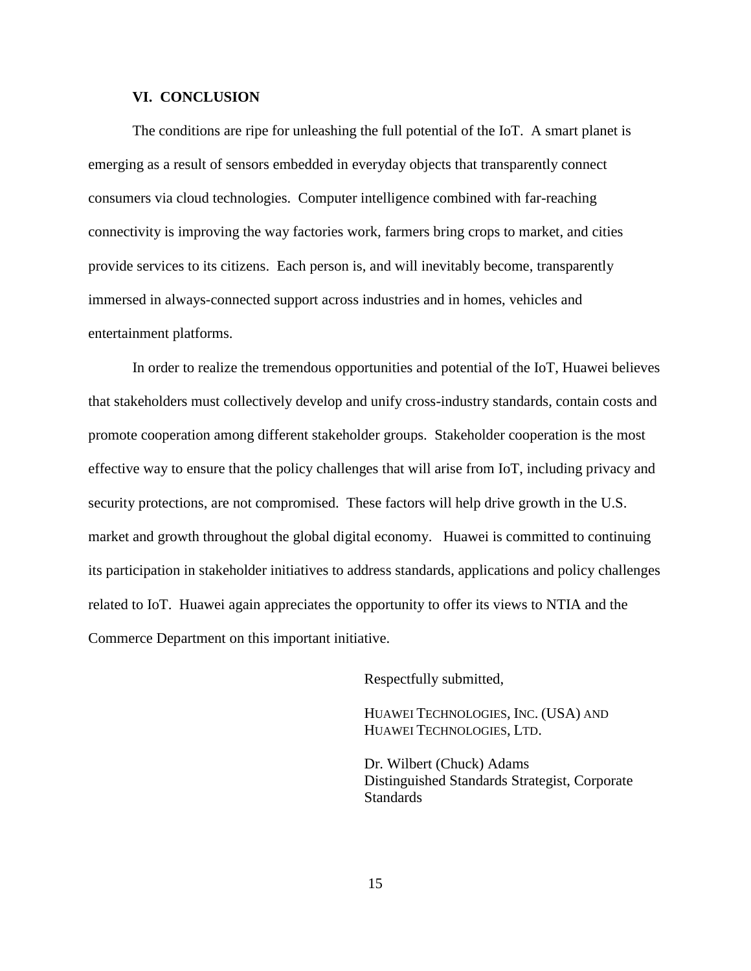### **VI. CONCLUSION**

The conditions are ripe for unleashing the full potential of the IoT. A smart planet is emerging as a result of sensors embedded in everyday objects that transparently connect consumers via cloud technologies. Computer intelligence combined with far-reaching connectivity is improving the way factories work, farmers bring crops to market, and cities provide services to its citizens. Each person is, and will inevitably become, transparently immersed in always-connected support across industries and in homes, vehicles and entertainment platforms.

In order to realize the tremendous opportunities and potential of the IoT, Huawei believes that stakeholders must collectively develop and unify cross-industry standards, contain costs and promote cooperation among different stakeholder groups. Stakeholder cooperation is the most effective way to ensure that the policy challenges that will arise from IoT, including privacy and security protections, are not compromised. These factors will help drive growth in the U.S. market and growth throughout the global digital economy. Huawei is committed to continuing its participation in stakeholder initiatives to address standards, applications and policy challenges related to IoT. Huawei again appreciates the opportunity to offer its views to NTIA and the Commerce Department on this important initiative.

Respectfully submitted,

HUAWEI TECHNOLOGIES, INC. (USA) AND HUAWEI TECHNOLOGIES, LTD.

Dr. Wilbert (Chuck) Adams Distinguished Standards Strategist, Corporate **Standards**